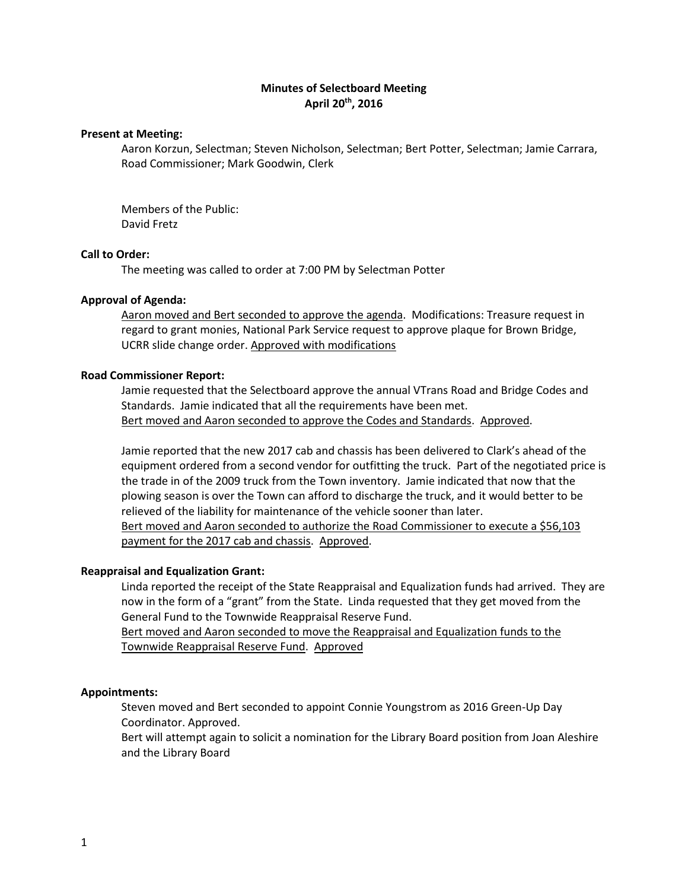# **Minutes of Selectboard Meeting April 20th, 2016**

#### **Present at Meeting:**

Aaron Korzun, Selectman; Steven Nicholson, Selectman; Bert Potter, Selectman; Jamie Carrara, Road Commissioner; Mark Goodwin, Clerk

Members of the Public: David Fretz

## **Call to Order:**

The meeting was called to order at 7:00 PM by Selectman Potter

## **Approval of Agenda:**

Aaron moved and Bert seconded to approve the agenda. Modifications: Treasure request in regard to grant monies, National Park Service request to approve plaque for Brown Bridge, UCRR slide change order. Approved with modifications

## **Road Commissioner Report:**

Jamie requested that the Selectboard approve the annual VTrans Road and Bridge Codes and Standards. Jamie indicated that all the requirements have been met. Bert moved and Aaron seconded to approve the Codes and Standards. Approved.

Jamie reported that the new 2017 cab and chassis has been delivered to Clark's ahead of the equipment ordered from a second vendor for outfitting the truck. Part of the negotiated price is the trade in of the 2009 truck from the Town inventory. Jamie indicated that now that the plowing season is over the Town can afford to discharge the truck, and it would better to be relieved of the liability for maintenance of the vehicle sooner than later. Bert moved and Aaron seconded to authorize the Road Commissioner to execute a \$56,103 payment for the 2017 cab and chassis. Approved.

## **Reappraisal and Equalization Grant:**

Linda reported the receipt of the State Reappraisal and Equalization funds had arrived. They are now in the form of a "grant" from the State. Linda requested that they get moved from the General Fund to the Townwide Reappraisal Reserve Fund.

Bert moved and Aaron seconded to move the Reappraisal and Equalization funds to the Townwide Reappraisal Reserve Fund. Approved

## **Appointments:**

Steven moved and Bert seconded to appoint Connie Youngstrom as 2016 Green-Up Day Coordinator. Approved.

Bert will attempt again to solicit a nomination for the Library Board position from Joan Aleshire and the Library Board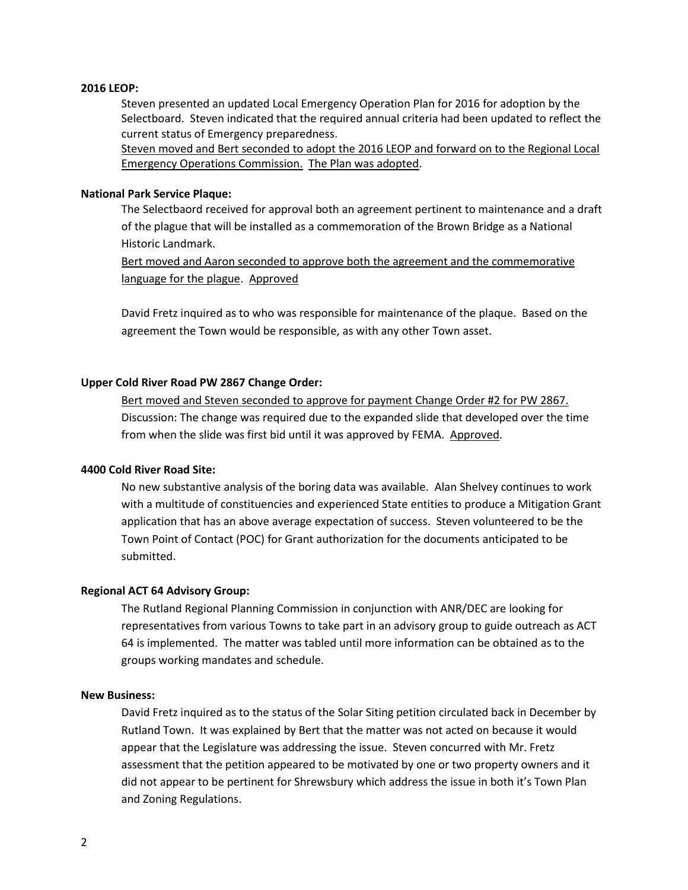### **2016 LEOP:**

Steven presented an updated Local Emergency Operation Plan for 2016 for adoption by the Selectboard. Steven indicated that the required annual criteria had been updated to reflect the current status of Emergency preparedness.

Steven moved and Bert seconded to adopt the 2016 LEOP and forward on to the Regional Local Emergency Operations Commission. The Plan was adopted.

## **National Park Service Plaque:**

The Selectbaord received for approval both an agreement pertinent to maintenance and a draft of the plague that will be installed as a commemoration of the Brown Bridge as a National Historic Landmark.

Bert moved and Aaron seconded to approve both the agreement and the commemorative language for the plague. Approved

David Fretz inquired as to who was responsible for maintenance of the plaque. Based on the agreement the Town would be responsible, as with any other Town asset.

## **Upper Cold River Road PW 2867 Change Order:**

Bert moved and Steven seconded to approve for payment Change Order #2 for PW 2867. Discussion: The change was required due to the expanded slide that developed over the time from when the slide was first bid until it was approved by FEMA. Approved.

# **4400 Cold River Road Site:**

No new substantive analysis of the boring data was available. Alan Shelvey continues to work with a multitude of constituencies and experienced State entities to produce a Mitigation Grant application that has an above average expectation of success. Steven volunteered to be the Town Point of Contact (POC) for Grant authorization for the documents anticipated to be submitted.

## **Regional ACT 64 Advisory Group:**

The Rutland Regional Planning Commission in conjunction with ANR/DEC are looking for representatives from various Towns to take part in an advisory group to guide outreach as ACT 64 is implemented. The matter was tabled until more information can be obtained as to the groups working mandates and schedule.

### **New Business:**

David Fretz inquired as to the status of the Solar Siting petition circulated back in December by Rutland Town. It was explained by Bert that the matter was not acted on because it would appear that the Legislature was addressing the issue. Steven concurred with Mr. Fretz assessment that the petition appeared to be motivated by one or two property owners and it did not appear to be pertinent for Shrewsbury which address the issue in both it's Town Plan and Zoning Regulations.